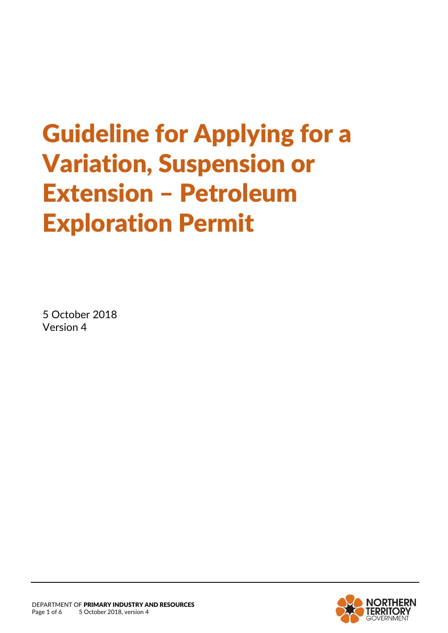# Guideline for Applying for a Variation, Suspension or Extension – Petroleum Exploration Permit

5 October 2018 Version 4

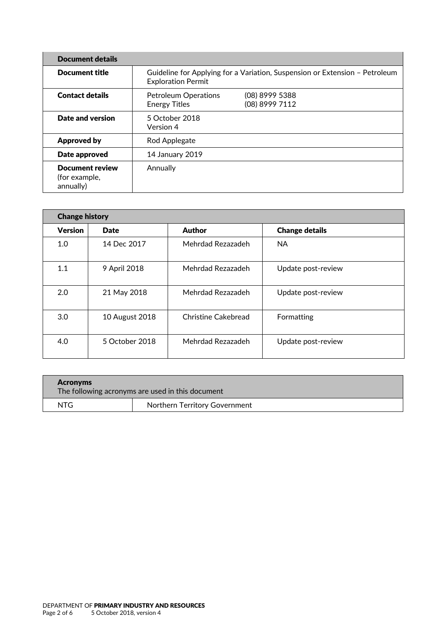| <b>Document details</b>                              |                                                                                                          |                                  |
|------------------------------------------------------|----------------------------------------------------------------------------------------------------------|----------------------------------|
| <b>Document title</b>                                | Guideline for Applying for a Variation, Suspension or Extension - Petroleum<br><b>Exploration Permit</b> |                                  |
| <b>Contact details</b>                               | <b>Petroleum Operations</b><br><b>Energy Titles</b>                                                      | (08) 8999 5388<br>(08) 8999 7112 |
| Date and version                                     | 5 October 2018<br>Version 4                                                                              |                                  |
| <b>Approved by</b>                                   | Rod Applegate                                                                                            |                                  |
| Date approved                                        | 14 January 2019                                                                                          |                                  |
| <b>Document review</b><br>(for example,<br>annually) | Annually                                                                                                 |                                  |

| <b>Change history</b> |                |                     |                       |  |
|-----------------------|----------------|---------------------|-----------------------|--|
| <b>Version</b>        | Date           | <b>Author</b>       | <b>Change details</b> |  |
| 1.0                   | 14 Dec 2017    | Mehrdad Rezazadeh   | <b>NA</b>             |  |
| 1.1                   | 9 April 2018   | Mehrdad Rezazadeh   | Update post-review    |  |
| 2.0                   | 21 May 2018    | Mehrdad Rezazadeh   | Update post-review    |  |
| 3.0                   | 10 August 2018 | Christine Cakebread | Formatting            |  |
| 4.0                   | 5 October 2018 | Mehrdad Rezazadeh   | Update post-review    |  |

| <b>Acronyms</b><br>The following acronyms are used in this document |                               |  |
|---------------------------------------------------------------------|-------------------------------|--|
| NTG                                                                 | Northern Territory Government |  |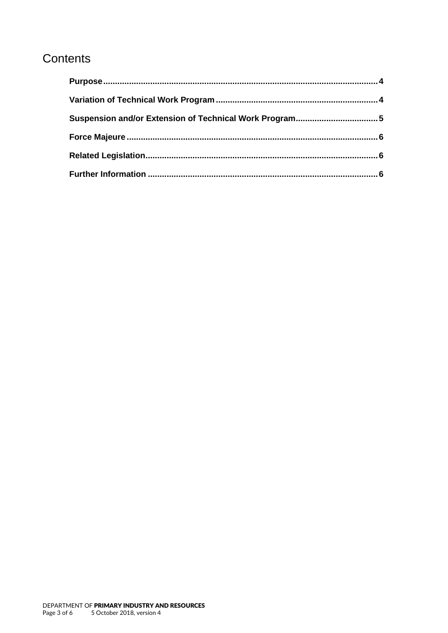## Contents

| Suspension and/or Extension of Technical Work Program5 |  |
|--------------------------------------------------------|--|
|                                                        |  |
|                                                        |  |
|                                                        |  |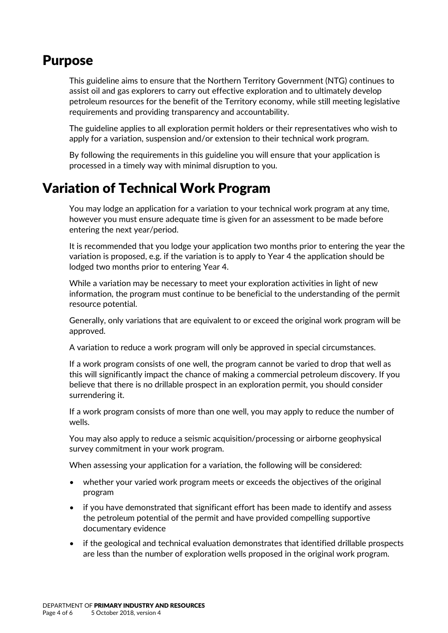#### <span id="page-3-0"></span>Purpose

This guideline aims to ensure that the Northern Territory Government (NTG) continues to assist oil and gas explorers to carry out effective exploration and to ultimately develop petroleum resources for the benefit of the Territory economy, while still meeting legislative requirements and providing transparency and accountability.

The guideline applies to all exploration permit holders or their representatives who wish to apply for a variation, suspension and/or extension to their technical work program.

By following the requirements in this guideline you will ensure that your application is processed in a timely way with minimal disruption to you.

## <span id="page-3-1"></span>Variation of Technical Work Program

You may lodge an application for a variation to your technical work program at any time, however you must ensure adequate time is given for an assessment to be made before entering the next year/period.

It is recommended that you lodge your application two months prior to entering the year the variation is proposed, e.g. if the variation is to apply to Year 4 the application should be lodged two months prior to entering Year 4.

While a variation may be necessary to meet your exploration activities in light of new information, the program must continue to be beneficial to the understanding of the permit resource potential.

Generally, only variations that are equivalent to or exceed the original work program will be approved.

A variation to reduce a work program will only be approved in special circumstances.

If a work program consists of one well, the program cannot be varied to drop that well as this will significantly impact the chance of making a commercial petroleum discovery. If you believe that there is no drillable prospect in an exploration permit, you should consider surrendering it.

If a work program consists of more than one well, you may apply to reduce the number of wells.

You may also apply to reduce a seismic acquisition/processing or airborne geophysical survey commitment in your work program.

When assessing your application for a variation, the following will be considered:

- whether your varied work program meets or exceeds the objectives of the original program
- if you have demonstrated that significant effort has been made to identify and assess the petroleum potential of the permit and have provided compelling supportive documentary evidence
- if the geological and technical evaluation demonstrates that identified drillable prospects are less than the number of exploration wells proposed in the original work program.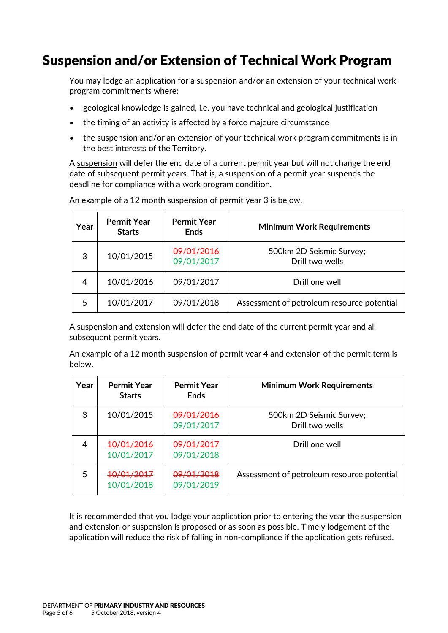## <span id="page-4-0"></span>Suspension and/or Extension of Technical Work Program

You may lodge an application for a suspension and/or an extension of your technical work program commitments where:

- geological knowledge is gained, i.e. you have technical and geological justification
- the timing of an activity is affected by a force majeure circumstance
- the suspension and/or an extension of your technical work program commitments is in the best interests of the Territory.

A suspension will defer the end date of a current permit year but will not change the end date of subsequent permit years. That is, a suspension of a permit year suspends the deadline for compliance with a work program condition.

| Year | <b>Permit Year</b><br><b>Starts</b> | <b>Permit Year</b><br><b>Ends</b>   | <b>Minimum Work Requirements</b>            |
|------|-------------------------------------|-------------------------------------|---------------------------------------------|
| 3    | 10/01/2015                          | <del>09/01/2016</del><br>09/01/2017 | 500km 2D Seismic Survey;<br>Drill two wells |
| 4    | 10/01/2016                          | 09/01/2017                          | Drill one well                              |
|      | 10/01/2017                          | 09/01/2018                          | Assessment of petroleum resource potential  |

An example of a 12 month suspension of permit year 3 is below.

A suspension and extension will defer the end date of the current permit year and all subsequent permit years.

An example of a 12 month suspension of permit year 4 and extension of the permit term is below.

| Year | <b>Permit Year</b><br><b>Starts</b> | <b>Permit Year</b><br><b>Ends</b>   | <b>Minimum Work Requirements</b>            |
|------|-------------------------------------|-------------------------------------|---------------------------------------------|
| 3    | 10/01/2015                          | 09/01/2016<br>09/01/2017            | 500km 2D Seismic Survey;<br>Drill two wells |
| 4    | <del>10/01/2016</del><br>10/01/2017 | <del>09/01/2017</del><br>09/01/2018 | Drill one well                              |
| 5    | <del>10/01/2017</del><br>10/01/2018 | 09/01/2018<br>09/01/2019            | Assessment of petroleum resource potential  |

It is recommended that you lodge your application prior to entering the year the suspension and extension or suspension is proposed or as soon as possible. Timely lodgement of the application will reduce the risk of falling in non-compliance if the application gets refused.